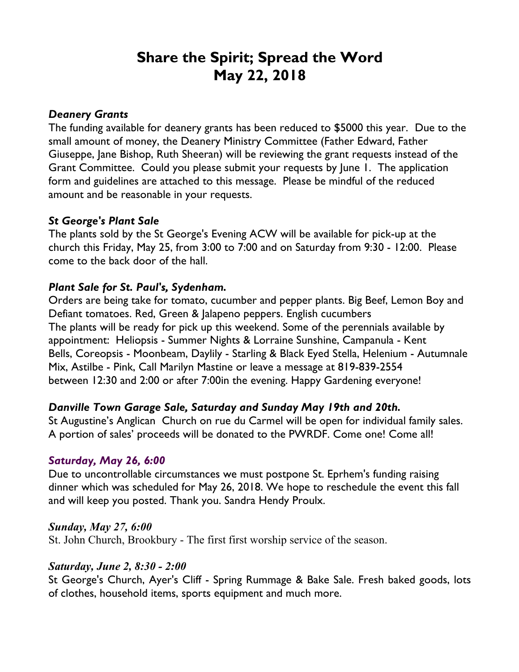# **Share the Spirit; Spread the Word May 22, 2018**

## *Deanery Grants*

The funding available for deanery grants has been reduced to \$5000 this year. Due to the small amount of money, the Deanery Ministry Committee (Father Edward, Father Giuseppe, Jane Bishop, Ruth Sheeran) will be reviewing the grant requests instead of the Grant Committee. Could you please submit your requests by June 1. The application form and guidelines are attached to this message. Please be mindful of the reduced amount and be reasonable in your requests.

## *St George's Plant Sale*

The plants sold by the St George's Evening ACW will be available for pick-up at the church this Friday, May 25, from 3:00 to 7:00 and on Saturday from 9:30 - 12:00. Please come to the back door of the hall.

# *Plant Sale for St. Paul's, Sydenham.*

Orders are being take for tomato, cucumber and pepper plants. Big Beef, Lemon Boy and Defiant tomatoes. Red, Green & Jalapeno peppers. English cucumbers The plants will be ready for pick up this weekend. Some of the perennials available by appointment: Heliopsis - Summer Nights & Lorraine Sunshine, Campanula - Kent Bells, Coreopsis - Moonbeam, Daylily - Starling & Black Eyed Stella, Helenium - Autumnale Mix, Astilbe - Pink, Call Marilyn Mastine or leave a message at 819-839-2554 between 12:30 and 2:00 or after 7:00in the evening. Happy Gardening everyone!

# *Danville Town Garage Sale, Saturday and Sunday May 19th and 20th.*

St Augustine's Anglican Church on rue du Carmel will be open for individual family sales. A portion of sales' proceeds will be donated to the PWRDF. Come one! Come all!

# *Saturday, May 26, 6:00*

Due to uncontrollable circumstances we must postpone St. Eprhem's funding raising dinner which was scheduled for May 26, 2018. We hope to reschedule the event this fall and will keep you posted. Thank you. Sandra Hendy Proulx.

#### *Sunday, May 27, 6:00*

St. John Church, Brookbury - The first first worship service of the season.

#### *Saturday, June 2, 8:30 - 2:00*

St George's Church, Ayer's Cliff - Spring Rummage & Bake Sale. Fresh baked goods, lots of clothes, household items, sports equipment and much more.